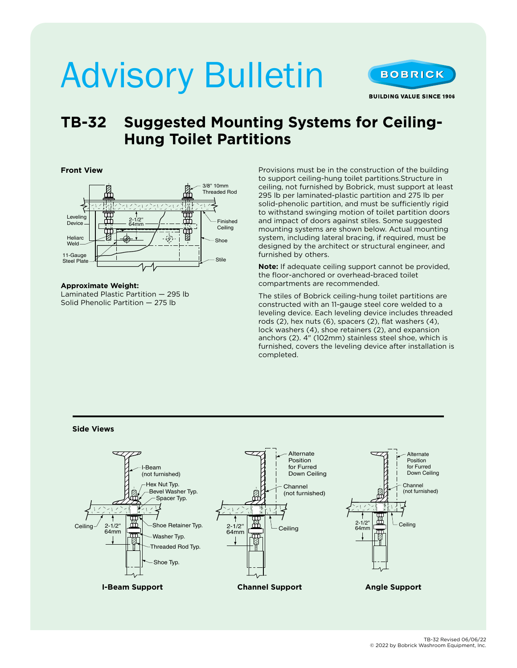# Advisory Bulletin



### **TB-32 Suggested Mounting Systems for Ceiling-Hung Toilet Partitions**

#### **Front View**



**Approximate Weight:** Laminated Plastic Partition — 295 lb Solid Phenolic Partition — 275 lb

Provisions must be in the construction of the building to support ceiling-hung toilet partitions.Structure in ceiling, not furnished by Bobrick, must support at least 295 lb per laminated-plastic partition and 275 lb per solid-phenolic partition, and must be sufficiently rigid to withstand swinging motion of toilet partition doors and impact of doors against stiles. Some suggested mounting systems are shown below. Actual mounting system, including lateral bracing, if required, must be designed by the architect or structural engineer, and furnished by others.

**Note:** If adequate ceiling support cannot be provided, the floor-anchored or overhead-braced toilet compartments are recommended.

The stiles of Bobrick ceiling-hung toilet partitions are constructed with an 11-gauge steel core welded to a leveling device. Each leveling device includes threaded rods (2), hex nuts (6), spacers (2), flat washers (4), lock washers (4), shoe retainers (2), and expansion anchors (2). 4" (102mm) stainless steel shoe, which is furnished, covers the leveling device after installation is completed.

**Side Views**